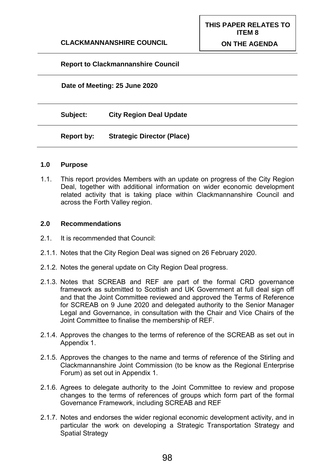## **Report to Clackmannanshire Council**

**Date of Meeting: 25 June 2020**

**Subject: City Region Deal Update**

**Report by: Strategic Director (Place)**

#### **1.0 Purpose**

1.1. This report provides Members with an update on progress of the City Region Deal, together with additional information on wider economic development related activity that is taking place within Clackmannanshire Council and across the Forth Valley region.

#### **2.0 Recommendations**

- 2.1. It is recommended that Council:
- 2.1.1. Notes that the City Region Deal was signed on 26 February 2020.
- 2.1.2. Notes the general update on City Region Deal progress.
- 2.1.3. Notes that SCREAB and REF are part of the formal CRD governance framework as submitted to Scottish and UK Government at full deal sign off and that the Joint Committee reviewed and approved the Terms of Reference for SCREAB on 9 June 2020 and delegated authority to the Senior Manager Legal and Governance, in consultation with the Chair and Vice Chairs of the Joint Committee to finalise the membership of REF.
- 2.1.4. Approves the changes to the terms of reference of the SCREAB as set out in Appendix 1.
- 2.1.5. Approves the changes to the name and terms of reference of the Stirling and Clackmannanshire Joint Commission (to be know as the Regional Enterprise Forum) as set out in Appendix 1.
- 2.1.6. Agrees to delegate authority to the Joint Committee to review and propose changes to the terms of references of groups which form part of the formal Governance Framework, including SCREAB and REF
- 2.1.7. Notes and endorses the wider regional economic development activity, and in particular the work on developing a Strategic Transportation Strategy and Spatial Strategy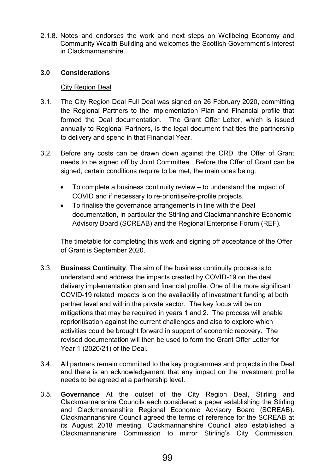2.1.8. Notes and endorses the work and next steps on Wellbeing Economy and Community Wealth Building and welcomes the Scottish Government's interest in Clackmannanshire.

# **3.0 Considerations**

# City Region Deal

- 3.1. The City Region Deal Full Deal was signed on 26 February 2020, committing the Regional Partners to the Implementation Plan and Financial profile that formed the Deal documentation. The Grant Offer Letter, which is issued annually to Regional Partners, is the legal document that ties the partnership to delivery and spend in that Financial Year.
- 3.2. Before any costs can be drawn down against the CRD, the Offer of Grant needs to be signed off by Joint Committee. Before the Offer of Grant can be signed, certain conditions require to be met, the main ones being:
	- To complete a business continuity review to understand the impact of COVID and if necessary to re-prioritise/re-profile projects.
	- To finalise the governance arrangements in line with the Deal documentation, in particular the Stirling and Clackmannanshire Economic Advisory Board (SCREAB) and the Regional Enterprise Forum (REF).

The timetable for completing this work and signing off acceptance of the Offer of Grant is September 2020.

- 3.3. **Business Continuity**. The aim of the business continuity process is to understand and address the impacts created by COVID-19 on the deal delivery implementation plan and financial profile. One of the more significant COVID-19 related impacts is on the availability of investment funding at both partner level and within the private sector. The key focus will be on mitigations that may be required in years 1 and 2. The process will enable reprioritisation against the current challenges and also to explore which activities could be brought forward in support of economic recovery. The revised documentation will then be used to form the Grant Offer Letter for Year 1 (2020/21) of the Deal.
- 3.4. All partners remain committed to the key programmes and projects in the Deal and there is an acknowledgement that any impact on the investment profile needs to be agreed at a partnership level.
- 3.5. **Governance** At the outset of the City Region Deal, Stirling and Clackmannanshire Councils each considered a paper establishing the Stirling and Clackmannanshire Regional Economic Advisory Board (SCREAB). Clackmannanshire Council agreed the terms of reference for the SCREAB at its August 2018 meeting. Clackmannanshire Council also established a Clackmannanshire Commission to mirror Stirling's City Commission.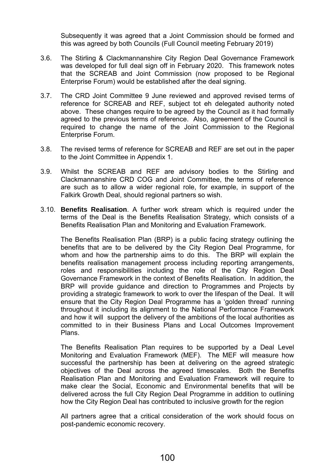Subsequently it was agreed that a Joint Commission should be formed and this was agreed by both Councils (Full Council meeting February 2019)

- 3.6. The Stirling & Clackmannanshire City Region Deal Governance Framework was developed for full deal sign off in February 2020. This framework notes that the SCREAB and Joint Commission (now proposed to be Regional Enterprise Forum) would be established after the deal signing.
- 3.7. The CRD Joint Committee 9 June reviewed and approved revised terms of reference for SCREAB and REF, subject tot eh delegated authority noted above. These changes require to be agreed by the Council as it had formally agreed to the previous terms of reference. Also, agreement of the Council is required to change the name of the Joint Commission to the Regional Enterprise Forum.
- 3.8. The revised terms of reference for SCREAB and REF are set out in the paper to the Joint Committee in Appendix 1.
- 3.9. Whilst the SCREAB and REF are advisory bodies to the Stirling and Clackmannanshire CRD COG and Joint Committee, the terms of reference are such as to allow a wider regional role, for example, in support of the Falkirk Growth Deal, should regional partners so wish.
- 3.10. **Benefits Realisation**. A further work stream which is required under the terms of the Deal is the Benefits Realisation Strategy, which consists of a Benefits Realisation Plan and Monitoring and Evaluation Framework.

The Benefits Realisation Plan (BRP) is a public facing strategy outlining the benefits that are to be delivered by the City Region Deal Programme, for whom and how the partnership aims to do this. The BRP will explain the benefits realisation management process including reporting arrangements, roles and responsibilities including the role of the City Region Deal Governance Framework in the context of Benefits Realisation. In addition, the BRP will provide guidance and direction to Programmes and Projects by providing a strategic framework to work to over the lifespan of the Deal. It will ensure that the City Region Deal Programme has a 'golden thread' running throughout it including its alignment to the National Performance Framework and how it will support the delivery of the ambitions of the local authorities as committed to in their Business Plans and Local Outcomes Improvement Plans.

The Benefits Realisation Plan requires to be supported by a Deal Level Monitoring and Evaluation Framework (MEF). The MEF will measure how successful the partnership has been at delivering on the agreed strategic objectives of the Deal across the agreed timescales. Both the Benefits Realisation Plan and Monitoring and Evaluation Framework will require to make clear the Social, Economic and Environmental benefits that will be delivered across the full City Region Deal Programme in addition to outlining how the City Region Deal has contributed to inclusive growth for the region

All partners agree that a critical consideration of the work should focus on post-pandemic economic recovery.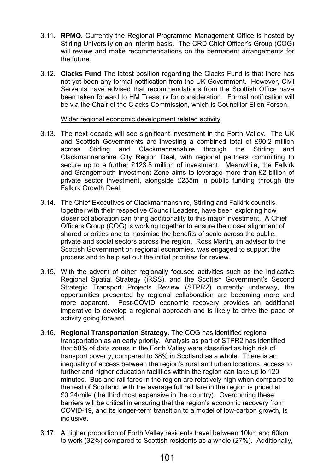- 3.11. **RPMO.** Currently the Regional Programme Management Office is hosted by Stirling University on an interim basis. The CRD Chief Officer's Group (COG) will review and make recommendations on the permanent arrangements for the future.
- 3.12. **Clacks Fund** The latest position regarding the Clacks Fund is that there has not yet been any formal notification from the UK Government. However, Civil Servants have advised that recommendations from the Scottish Office have been taken forward to HM Treasury for consideration. Formal notification will be via the Chair of the Clacks Commission, which is Councillor Ellen Forson.

#### Wider regional economic development related activity

- 3.13. The next decade will see significant investment in the Forth Valley. The UK and Scottish Governments are investing a combined total of £90.2 million across Stirling and Clackmannanshire through the Stirling and Clackmannanshire City Region Deal, with regional partners committing to secure up to a further £123.8 million of investment. Meanwhile, the Falkirk and Grangemouth Investment Zone aims to leverage more than £2 billion of private sector investment, alongside £235m in public funding through the Falkirk Growth Deal.
- 3.14. The Chief Executives of Clackmannanshire, Stirling and Falkirk councils, together with their respective Council Leaders, have been exploring how closer collaboration can bring additionality to this major investment. A Chief Officers Group (COG) is working together to ensure the closer alignment of shared priorities and to maximise the benefits of scale across the public, private and social sectors across the region. Ross Martin, an advisor to the Scottish Government on regional economies, was engaged to support the process and to help set out the initial priorities for review.
- 3.15. With the advent of other regionally focused activities such as the Indicative Regional Spatial Strategy (iRSS), and the Scottish Government's Second Strategic Transport Projects Review (STPR2) currently underway, the opportunities presented by regional collaboration are becoming more and more apparent. Post-COVID economic recovery provides an additional imperative to develop a regional approach and is likely to drive the pace of activity going forward.
- 3.16. **Regional Transportation Strategy**. The COG has identified regional transportation as an early priority. Analysis as part of STPR2 has identified that 50% of data zones in the Forth Valley were classified as high risk of transport poverty, compared to 38% in Scotland as a whole. There is an inequality of access between the region's rural and urban locations, access to further and higher education facilities within the region can take up to 120 minutes. Bus and rail fares in the region are relatively high when compared to the rest of Scotland, with the average full rail fare in the region is priced at £0.24/mile (the third most expensive in the country). Overcoming these barriers will be critical in ensuring that the region's economic recovery from COVID-19, and its longer-term transition to a model of low-carbon growth, is inclusive.
- 3.17. A higher proportion of Forth Valley residents travel between 10km and 60km to work (32%) compared to Scottish residents as a whole (27%). Additionally,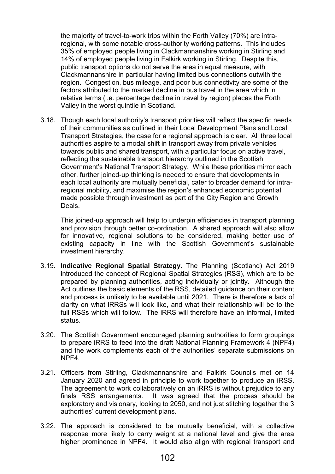the majority of travel-to-work trips within the Forth Valley (70%) are intraregional, with some notable cross-authority working patterns. This includes 35% of employed people living in Clackmannanshire working in Stirling and 14% of employed people living in Falkirk working in Stirling. Despite this, public transport options do not serve the area in equal measure, with Clackmannanshire in particular having limited bus connections outwith the region. Congestion, bus mileage, and poor bus connectivity are some of the factors attributed to the marked decline in bus travel in the area which in relative terms (i.e. percentage decline in travel by region) places the Forth Valley in the worst quintile in Scotland.

3.18. Though each local authority's transport priorities will reflect the specific needs of their communities as outlined in their Local Development Plans and Local Transport Strategies, the case for a regional approach is clear. All three local authorities aspire to a modal shift in transport away from private vehicles towards public and shared transport, with a particular focus on active travel, reflecting the sustainable transport hierarchy outlined in the Scottish Government's National Transport Strategy. While these priorities mirror each other, further joined-up thinking is needed to ensure that developments in each local authority are mutually beneficial, cater to broader demand for intraregional mobility, and maximise the region's enhanced economic potential made possible through investment as part of the City Region and Growth Deals.

This joined-up approach will help to underpin efficiencies in transport planning and provision through better co-ordination. A shared approach will also allow for innovative, regional solutions to be considered, making better use of existing capacity in line with the Scottish Government's sustainable investment hierarchy.

- 3.19. **Indicative Regional Spatial Strategy**. The Planning (Scotland) Act 2019 introduced the concept of Regional Spatial Strategies (RSS), which are to be prepared by planning authorities, acting individually or jointly. Although the Act outlines the basic elements of the RSS, detailed guidance on their content and process is unlikely to be available until 2021. There is therefore a lack of clarity on what iRRSs will look like, and what their relationship will be to the full RSSs which will follow. The iRRS will therefore have an informal, limited status.
- 3.20. The Scottish Government encouraged planning authorities to form groupings to prepare iRRS to feed into the draft National Planning Framework 4 (NPF4) and the work complements each of the authorities' separate submissions on NPF4.
- 3.21. Officers from Stirling, Clackmannanshire and Falkirk Councils met on 14 January 2020 and agreed in principle to work together to produce an iRSS. The agreement to work collaboratively on an iRRS is without prejudice to any finals RSS arrangements. It was agreed that the process should be exploratory and visionary, looking to 2050, and not just stitching together the 3 authorities' current development plans.
- 3.22. The approach is considered to be mutually beneficial, with a collective response more likely to carry weight at a national level and give the area higher prominence in NPF4. It would also align with regional transport and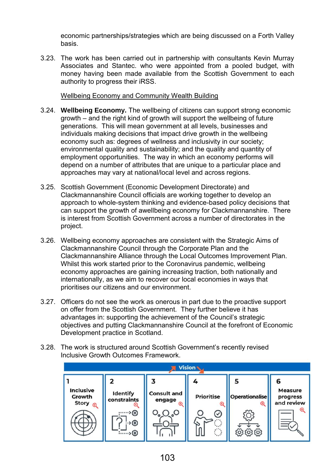economic partnerships/strategies which are being discussed on a Forth Valley basis.

3.23. The work has been carried out in partnership with consultants Kevin Murray Associates and Stantec. who were appointed from a pooled budget, with money having been made available from the Scottish Government to each authority to progress their iRSS.

Wellbeing Economy and Community Wealth Building

- 3.24. **Wellbeing Economy.** The wellbeing of citizens can support strong economic growth – and the right kind of growth will support the wellbeing of future generations. This will mean government at all levels, businesses and individuals making decisions that impact drive growth in the wellbeing economy such as: degrees of wellness and inclusivity in our society; environmental quality and sustainability; and the quality and quantity of employment opportunities. The way in which an economy performs will depend on a number of attributes that are unique to a particular place and approaches may vary at national/local level and across regions.
- 3.25. Scottish Government (Economic Development Directorate) and Clackmannanshire Council officials are working together to develop an approach to whole-system thinking and evidence-based policy decisions that can support the growth of awellbeing economy for Clackmannanshire. There is interest from Scottish Government across a number of directorates in the project.
- 3.26. Wellbeing economy approaches are consistent with the Strategic Aims of Clackmannanshire Council through the Corporate Plan and the Clackmannanshire Alliance through the Local Outcomes Improvement Plan. Whilst this work started prior to the Coronavirus pandemic, wellbeing economy approaches are gaining increasing traction, both nationally and internationally, as we aim to recover our local economies in ways that prioritises our citizens and our environment.
- 3.27. Officers do not see the work as onerous in part due to the proactive support on offer from the Scottish Government. They further believe it has advantages in: supporting the achievement of the Council's strategic objectives and putting Clackmannanshire Council at the forefront of Economic Development practice in Scotland.
- 3.28. The work is structured around Scottish Government's recently revised Inclusive Growth Outcomes Framework.

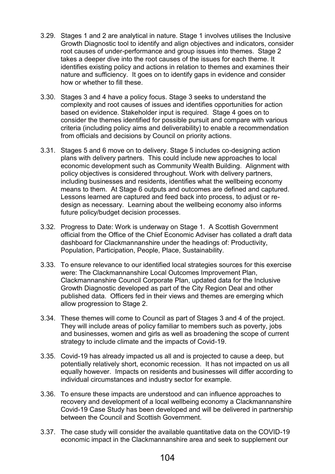- 3.29. Stages 1 and 2 are analytical in nature. Stage 1 involves utilises the Inclusive Growth Diagnostic tool to identify and align objectives and indicators, consider root causes of under-performance and group issues into themes. Stage 2 takes a deeper dive into the root causes of the issues for each theme. It identifies existing policy and actions in relation to themes and examines their nature and sufficiency. It goes on to identify gaps in evidence and consider how or whether to fill these.
- 3.30. Stages 3 and 4 have a policy focus. Stage 3 seeks to understand the complexity and root causes of issues and identifies opportunities for action based on evidence. Stakeholder input is required. Stage 4 goes on to consider the themes identified for possible pursuit and compare with various criteria (including policy aims and deliverability) to enable a recommendation from officials and decisions by Council on priority actions.
- 3.31. Stages 5 and 6 move on to delivery. Stage 5 includes co-designing action plans with delivery partners. This could include new approaches to local economic development such as Community Wealth Building. Alignment with policy objectives is considered throughout. Work with delivery partners, including businesses and residents, identifies what the wellbeing economy means to them. At Stage 6 outputs and outcomes are defined and captured. Lessons learned are captured and feed back into process, to adjust or redesign as necessary. Learning about the wellbeing economy also informs future policy/budget decision processes.
- 3.32. Progress to Date: Work is underway on Stage 1. A Scottish Government official from the Office of the Chief Economic Adviser has collated a draft data dashboard for Clackmannanshire under the headings of: Productivity, Population, Participation, People, Place, Sustainability.
- 3.33. To ensure relevance to our identified local strategies sources for this exercise were: The Clackmannanshire Local Outcomes Improvement Plan, Clackmannanshire Council Corporate Plan, updated data for the Inclusive Growth Diagnostic developed as part of the City Region Deal and other published data. Officers fed in their views and themes are emerging which allow progression to Stage 2.
- 3.34. These themes will come to Council as part of Stages 3 and 4 of the project. They will include areas of policy familiar to members such as poverty, jobs and businesses, women and girls as well as broadening the scope of current strategy to include climate and the impacts of Covid-19.
- 3.35. Covid-19 has already impacted us all and is projected to cause a deep, but potentially relatively short, economic recession. It has not impacted on us all equally however. Impacts on residents and businesses will differ according to individual circumstances and industry sector for example.
- 3.36. To ensure these impacts are understood and can influence approaches to recovery and development of a local wellbeing economy a Clackmannanshire Covid-19 Case Study has been developed and will be delivered in partnership between the Council and Scottish Government.
- 3.37. The case study will consider the available quantitative data on the COVID-19 economic impact in the Clackmannanshire area and seek to supplement our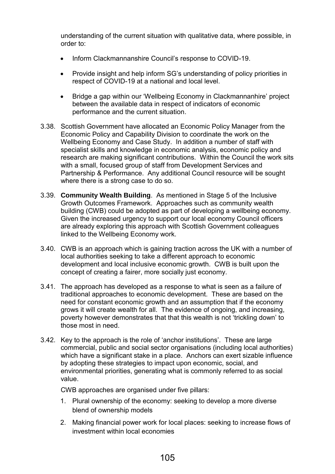understanding of the current situation with qualitative data, where possible, in order to:

- Inform Clackmannanshire Council's response to COVID-19.
- Provide insight and help inform SG's understanding of policy priorities in respect of COVID-19 at a national and local level.
- Bridge a gap within our 'Wellbeing Economy in Clackmannanhire' project between the available data in respect of indicators of economic performance and the current situation.
- 3.38. Scottish Government have allocated an Economic Policy Manager from the Economic Policy and Capability Division to coordinate the work on the Wellbeing Economy and Case Study. In addition a number of staff with specialist skills and knowledge in economic analysis, economic policy and research are making significant contributions. Within the Council the work sits with a small, focused group of staff from Development Services and Partnership & Performance. Any additional Council resource will be sought where there is a strong case to do so.
- 3.39. **Community Wealth Building**. As mentioned in Stage 5 of the Inclusive Growth Outcomes Framework. Approaches such as community wealth building (CWB) could be adopted as part of developing a wellbeing economy. Given the increased urgency to support our local economy Council officers are already exploring this approach with Scottish Government colleagues linked to the Wellbeing Economy work.
- 3.40. CWB is an approach which is gaining traction across the UK with a number of local authorities seeking to take a different approach to economic development and local inclusive economic growth. CWB is built upon the concept of creating a fairer, more socially just economy.
- 3.41. The approach has developed as a response to what is seen as a failure of traditional approaches to economic development. These are based on the need for constant economic growth and an assumption that if the economy grows it will create wealth for all. The evidence of ongoing, and increasing, poverty however demonstrates that that this wealth is not 'trickling down' to those most in need.
- 3.42. Key to the approach is the role of 'anchor institutions'. These are large commercial, public and social sector organisations (including local authorities) which have a significant stake in a place. Anchors can exert sizable influence by adopting these strategies to impact upon economic, social, and environmental priorities, generating what is commonly referred to as social value.

CWB approaches are organised under five pillars:

- 1. Plural ownership of the economy: seeking to develop a more diverse blend of ownership models
- 2. Making financial power work for local places: seeking to increase flows of investment within local economies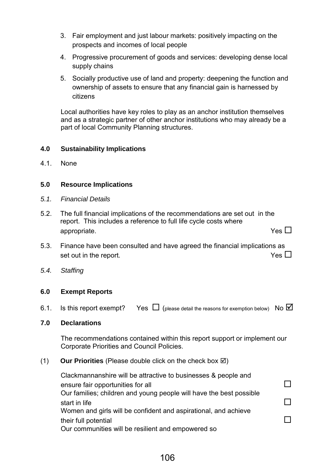- 3. Fair employment and just labour markets: positively impacting on the prospects and incomes of local people
- 4. Progressive procurement of goods and services: developing dense local supply chains
- 5. Socially productive use of land and property: deepening the function and ownership of assets to ensure that any financial gain is harnessed by citizens

Local authorities have key roles to play as an anchor institution themselves and as a strategic partner of other anchor institutions who may already be a part of local Community Planning structures.

# **4.0 Sustainability Implications**

4.1. None

# **5.0 Resource Implications**

- *5.1. Financial Details*
- 5.2. The full financial implications of the recommendations are set out in the report. This includes a reference to full life cycle costs where appropriate.  $Y$ es  $\square$
- 5.3. Finance have been consulted and have agreed the financial implications as set out in the report.  $Y$ es  $\square$
- *5.4. Staffing*

# **6.0 Exempt Reports**

6.1. Is this report exempt? Yes  $\Box$  (please detail the reasons for exemption below) No  $\Box$ 

## **7.0 Declarations**

The recommendations contained within this report support or implement our Corporate Priorities and Council Policies.

# (1) **Our Priorities** (Please double click on the check box  $\boxtimes$ )

Clackmannanshire will be attractive to businesses & people and ensure fair opportunities for all Our families; children and young people will have the best possible start in life  $\Box$ Women and girls will be confident and aspirational, and achieve their full potential and the set of the set of the set of the set of the set of the set of the set of the set of the set of the set of the set of the set of the set of the set of the set of the set of the set of the set of Our communities will be resilient and empowered so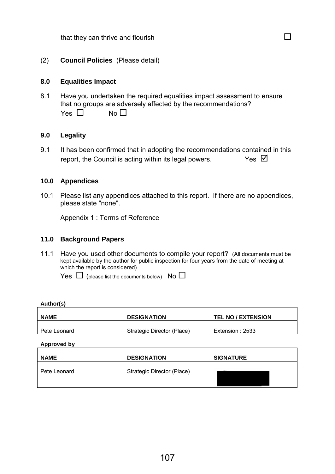that they can thrive and flourish  $\square$ 

(2) **Council Policies** (Please detail)

#### **8.0 Equalities Impact**

8.1 Have you undertaken the required equalities impact assessment to ensure that no groups are adversely affected by the recommendations?  $Yes \ \Box$   $No \ \Box$ 

#### **9.0 Legality**

9.1 It has been confirmed that in adopting the recommendations contained in this report, the Council is acting within its legal powers.  $Y$ es  $\boxtimes$ 

#### **10.0 Appendices**

10.1 Please list any appendices attached to this report. If there are no appendices, please state "none".

Appendix 1 : Terms of Reference

#### **11.0 Background Papers**

11.1 Have you used other documents to compile your report? (All documents must be kept available by the author for public inspection for four years from the date of meeting at which the report is considered)

Yes  $\Box$  (please list the documents below) No  $\Box$ 

#### **Author(s)**

| <b>NAME</b>  | <b>DESIGNATION</b>         | <b>TEL NO / EXTENSION</b> |
|--------------|----------------------------|---------------------------|
| Pete Leonard | Strategic Director (Place) | Extension : 2533          |

**Approved by** 

| <b>NAME</b>  | <b>DESIGNATION</b>         | <b>SIGNATURE</b> |
|--------------|----------------------------|------------------|
| Pete Leonard | Strategic Director (Place) |                  |
|              |                            |                  |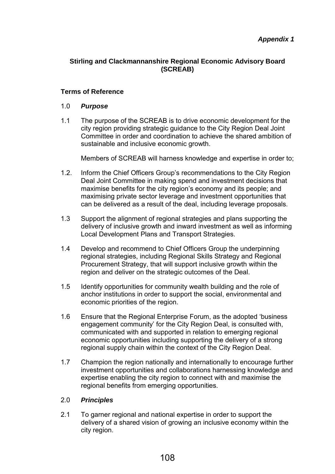# **Stirling and Clackmannanshire Regional Economic Advisory Board (SCREAB)**

# **Terms of Reference**

## 1.0 *Purpose*

1.1 The purpose of the SCREAB is to drive economic development for the city region providing strategic guidance to the City Region Deal Joint Committee in order and coordination to achieve the shared ambition of sustainable and inclusive economic growth.

Members of SCREAB will harness knowledge and expertise in order to;

- 1.2. Inform the Chief Officers Group's recommendations to the City Region Deal Joint Committee in making spend and investment decisions that maximise benefits for the city region's economy and its people; and maximising private sector leverage and investment opportunities that can be delivered as a result of the deal, including leverage proposals.
- 1.3 Support the alignment of regional strategies and plans supporting the delivery of inclusive growth and inward investment as well as informing Local Development Plans and Transport Strategies.
- 1.4 Develop and recommend to Chief Officers Group the underpinning regional strategies, including Regional Skills Strategy and Regional Procurement Strategy, that will support inclusive growth within the region and deliver on the strategic outcomes of the Deal.
- 1.5 Identify opportunities for community wealth building and the role of anchor institutions in order to support the social, environmental and economic priorities of the region.
- 1.6 Ensure that the Regional Enterprise Forum, as the adopted 'business engagement community' for the City Region Deal, is consulted with, communicated with and supported in relation to emerging regional economic opportunities including supporting the delivery of a strong regional supply chain within the context of the City Region Deal.
- 1.7 Champion the region nationally and internationally to encourage further investment opportunities and collaborations harnessing knowledge and expertise enabling the city region to connect with and maximise the regional benefits from emerging opportunities.

## 2.0 *Principles*

2.1 To garner regional and national expertise in order to support the delivery of a shared vision of growing an inclusive economy within the city region.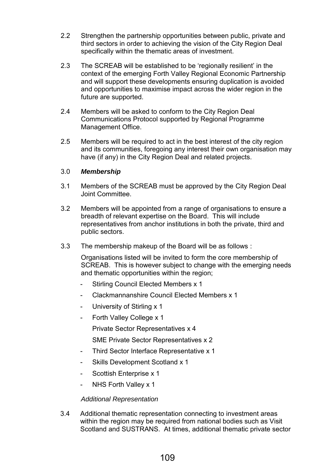- 2.2 Strengthen the partnership opportunities between public, private and third sectors in order to achieving the vision of the City Region Deal specifically within the thematic areas of investment.
- 2.3 The SCREAB will be established to be 'regionally resilient' in the context of the emerging Forth Valley Regional Economic Partnership and will support these developments ensuring duplication is avoided and opportunities to maximise impact across the wider region in the future are supported.
- 2.4 Members will be asked to conform to the City Region Deal Communications Protocol supported by Regional Programme Management Office.
- 2.5 Members will be required to act in the best interest of the city region and its communities, foregoing any interest their own organisation may have (if any) in the City Region Deal and related projects.

# 3.0 *Membership*

- 3.1 Members of the SCREAB must be approved by the City Region Deal Joint Committee.
- 3.2 Members will be appointed from a range of organisations to ensure a breadth of relevant expertise on the Board. This will include representatives from anchor institutions in both the private, third and public sectors.
- 3.3 The membership makeup of the Board will be as follows :

 Organisations listed will be invited to form the core membership of SCREAB. This is however subject to change with the emerging needs and thematic opportunities within the region;

- Stirling Council Elected Members x 1
- Clackmannanshire Council Elected Members x 1
- University of Stirling x 1
- Forth Valley College x 1

Private Sector Representatives x 4

SME Private Sector Representatives x 2

- Third Sector Interface Representative x 1
- Skills Development Scotland x 1
- Scottish Enterprise x 1
- NHS Forth Valley x 1

## *Additional Representation*

3.4 Additional thematic representation connecting to investment areas within the region may be required from national bodies such as Visit Scotland and SUSTRANS. At times, additional thematic private sector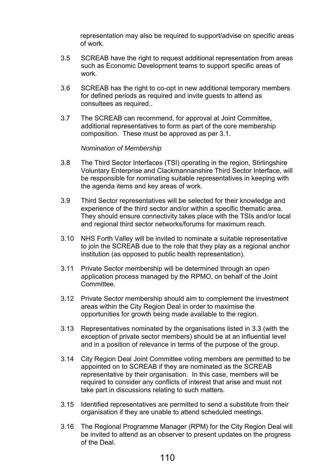representation may also be required to support/advise on specific areas of work.

- 3.5 SCREAB have the right to request additional representation from areas such as Economic Development teams to support specific areas of work.
- 3.6 SCREAB has the right to co-opt in new additional temporary members for defined periods as required and invite guests to attend as consultees as required..
- 3.7 The SCREAB can recommend, for approval at Joint Committee, additional representatives to form as part of the core membership composition. These must be approved as per 3.1.

#### *Nomination of Membership*

- 3.8 The Third Sector Interfaces (TSI) operating in the region, Stirlingshire Voluntary Enterprise and Clackmannanshire Third Sector Interface, will be responsible for nominating suitable representatives in keeping with the agenda items and key areas of work.
- 3.9 Third Sector representatives will be selected for their knowledge and experience of the third sector and/or within a specific thematic area. They should ensure connectivity takes place with the TSIs and/or local and regional third sector networks/forums for maximum reach.
- 3.10 NHS Forth Valley will be invited to nominate a suitable representative to join the SCREAB due to the role that they play as a regional anchor institution (as opposed to public health representation).
- 3.11 Private Sector membership will be determined through an open application process managed by the RPMO, on behalf of the Joint Committee.
- 3.12 Private Sector membership should aim to complement the investment areas within the City Region Deal in order to maximise the opportunities for growth being made available to the region.
- 3.13 Representatives nominated by the organisations listed in 3.3 (with the exception of private sector members) should be at an influential level and in a position of relevance in terms of the purpose of the group.
- 3.14 City Region Deal Joint Committee voting members are permitted to be appointed on to SCREAB if they are nominated as the SCREAB representative by their organisation. In this case, members will be required to consider any conflicts of interest that arise and must not take part in discussions relating to such matters.
- 3.15 Identified representatives are permitted to send a substitute from their organisation if they are unable to attend scheduled meetings.
- 3.16 The Regional Programme Manager (RPM) for the City Region Deal will be invited to attend as an observer to present updates on the progress of the Deal.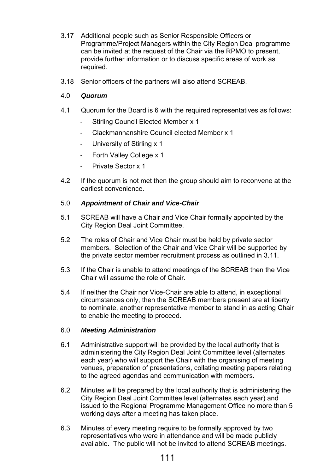- 3.17 Additional people such as Senior Responsible Officers or Programme/Project Managers within the City Region Deal programme can be invited at the request of the Chair via the RPMO to present, provide further information or to discuss specific areas of work as required.
- 3.18 Senior officers of the partners will also attend SCREAB.

# 4.0 *Quorum*

- 4.1 Quorum for the Board is 6 with the required representatives as follows:
	- Stirling Council Elected Member x 1
	- Clackmannanshire Council elected Member x 1
	- University of Stirling x 1
	- Forth Valley College x 1
	- Private Sector x 1
- 4.2 If the quorum is not met then the group should aim to reconvene at the earliest convenience.

## 5.0 *Appointment of Chair and Vice-Chair*

- 5.1 SCREAB will have a Chair and Vice Chair formally appointed by the City Region Deal Joint Committee.
- 5.2 The roles of Chair and Vice Chair must be held by private sector members. Selection of the Chair and Vice Chair will be supported by the private sector member recruitment process as outlined in 3.11.
- 5.3 If the Chair is unable to attend meetings of the SCREAB then the Vice Chair will assume the role of Chair.
- 5.4 If neither the Chair nor Vice-Chair are able to attend, in exceptional circumstances only, then the SCREAB members present are at liberty to nominate, another representative member to stand in as acting Chair to enable the meeting to proceed.

# 6.0 *Meeting Administration*

- 6.1 Administrative support will be provided by the local authority that is administering the City Region Deal Joint Committee level (alternates each year) who will support the Chair with the organising of meeting venues, preparation of presentations, collating meeting papers relating to the agreed agendas and communication with members.
- 6.2 Minutes will be prepared by the local authority that is administering the City Region Deal Joint Committee level (alternates each year) and issued to the Regional Programme Management Office no more than 5 working days after a meeting has taken place.
- 6.3 Minutes of every meeting require to be formally approved by two representatives who were in attendance and will be made publicly available. The public will not be invited to attend SCREAB meetings.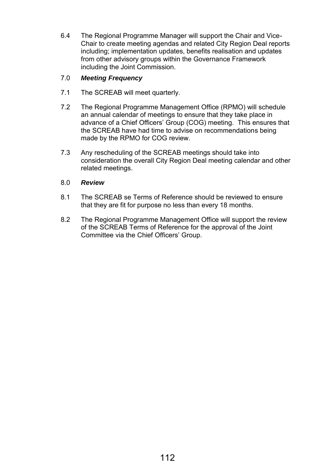6.4 The Regional Programme Manager will support the Chair and Vice-Chair to create meeting agendas and related City Region Deal reports including; implementation updates, benefits realisation and updates from other advisory groups within the Governance Framework including the Joint Commission.

# 7.0 *Meeting Frequency*

- 7.1 The SCREAB will meet quarterly.
- 7.2 The Regional Programme Management Office (RPMO) will schedule an annual calendar of meetings to ensure that they take place in advance of a Chief Officers' Group (COG) meeting. This ensures that the SCREAB have had time to advise on recommendations being made by the RPMO for COG review.
- 7.3 Any rescheduling of the SCREAB meetings should take into consideration the overall City Region Deal meeting calendar and other related meetings.

# 8.0 *Review*

- 8.1 The SCREAB se Terms of Reference should be reviewed to ensure that they are fit for purpose no less than every 18 months.
- 8.2 The Regional Programme Management Office will support the review of the SCREAB Terms of Reference for the approval of the Joint Committee via the Chief Officers' Group.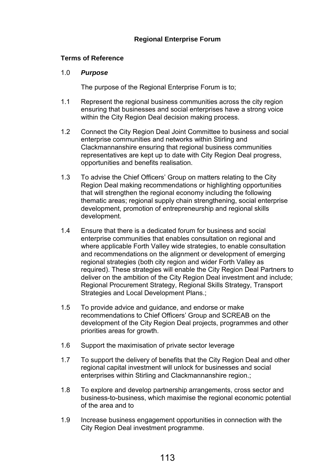# **Regional Enterprise Forum**

#### **Terms of Reference**

#### 1.0 *Purpose*

The purpose of the Regional Enterprise Forum is to;

- 1.1 Represent the regional business communities across the city region ensuring that businesses and social enterprises have a strong voice within the City Region Deal decision making process.
- 1.2 Connect the City Region Deal Joint Committee to business and social enterprise communities and networks within Stirling and Clackmannanshire ensuring that regional business communities representatives are kept up to date with City Region Deal progress, opportunities and benefits realisation.
- 1.3 To advise the Chief Officers' Group on matters relating to the City Region Deal making recommendations or highlighting opportunities that will strengthen the regional economy including the following thematic areas; regional supply chain strengthening, social enterprise development, promotion of entrepreneurship and regional skills development.
- 1.4 Ensure that there is a dedicated forum for business and social enterprise communities that enables consultation on regional and where applicable Forth Valley wide strategies, to enable consultation and recommendations on the alignment or development of emerging regional strategies (both city region and wider Forth Valley as required). These strategies will enable the City Region Deal Partners to deliver on the ambition of the City Region Deal investment and include; Regional Procurement Strategy, Regional Skills Strategy, Transport Strategies and Local Development Plans.;
- 1.5 To provide advice and guidance, and endorse or make recommendations to Chief Officers' Group and SCREAB on the development of the City Region Deal projects, programmes and other priorities areas for growth.
- 1.6 Support the maximisation of private sector leverage
- 1.7 To support the delivery of benefits that the City Region Deal and other regional capital investment will unlock for businesses and social enterprises within Stirling and Clackmannanshire region.;
- 1.8 To explore and develop partnership arrangements, cross sector and business-to-business, which maximise the regional economic potential of the area and to
- 1.9 Increase business engagement opportunities in connection with the City Region Deal investment programme.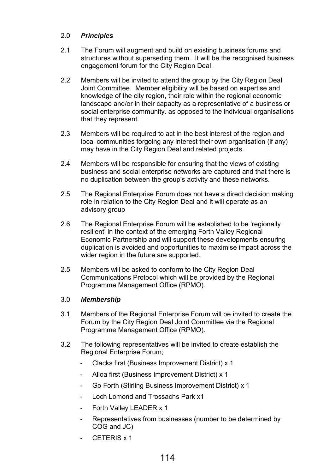# 2.0 *Principles*

- 2.1 The Forum will augment and build on existing business forums and structures without superseding them. It will be the recognised business engagement forum for the City Region Deal.
- 2.2 Members will be invited to attend the group by the City Region Deal Joint Committee. Member eligibility will be based on expertise and knowledge of the city region, their role within the regional economic landscape and/or in their capacity as a representative of a business or social enterprise community. as opposed to the individual organisations that they represent.
- 2.3 Members will be required to act in the best interest of the region and local communities forgoing any interest their own organisation (if any) may have in the City Region Deal and related projects.
- 2.4 Members will be responsible for ensuring that the views of existing business and social enterprise networks are captured and that there is no duplication between the group's activity and these networks.
- 2.5 The Regional Enterprise Forum does not have a direct decision making role in relation to the City Region Deal and it will operate as an advisory group
- 2.6 The Regional Enterprise Forum will be established to be 'regionally resilient' in the context of the emerging Forth Valley Regional Economic Partnership and will support these developments ensuring duplication is avoided and opportunities to maximise impact across the wider region in the future are supported.
- 2.5 Members will be asked to conform to the City Region Deal Communications Protocol which will be provided by the Regional Programme Management Office (RPMO).

# 3.0 *Membership*

- 3.1 Members of the Regional Enterprise Forum will be invited to create the Forum by the City Region Deal Joint Committee via the Regional Programme Management Office (RPMO).
- 3.2 The following representatives will be invited to create establish the Regional Enterprise Forum;
	- Clacks first (Business Improvement District) x 1
	- Alloa first (Business Improvement District) x 1
	- Go Forth (Stirling Business Improvement District) x 1
	- Loch Lomond and Trossachs Park x1
	- Forth Valley LEADER x 1
	- Representatives from businesses (number to be determined by COG and JC)
	- CETERIS x 1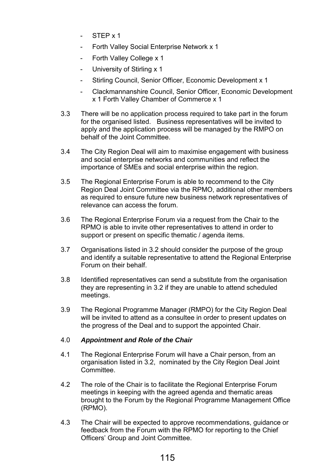- STEP x 1
- Forth Valley Social Enterprise Network x 1
- Forth Valley College x 1
- University of Stirling x 1
- Stirling Council, Senior Officer, Economic Development x 1
- Clackmannanshire Council, Senior Officer, Economic Development x 1 Forth Valley Chamber of Commerce x 1
- 3.3 There will be no application process required to take part in the forum for the organised listed. Business representatives will be invited to apply and the application process will be managed by the RMPO on behalf of the Joint Committee.
- 3.4 The City Region Deal will aim to maximise engagement with business and social enterprise networks and communities and reflect the importance of SMEs and social enterprise within the region.
- 3.5 The Regional Enterprise Forum is able to recommend to the City Region Deal Joint Committee via the RPMO, additional other members as required to ensure future new business network representatives of relevance can access the forum.
- 3.6 The Regional Enterprise Forum via a request from the Chair to the RPMO is able to invite other representatives to attend in order to support or present on specific thematic / agenda items.
- 3.7 Organisations listed in 3.2 should consider the purpose of the group and identify a suitable representative to attend the Regional Enterprise Forum on their behalf.
- 3.8 Identified representatives can send a substitute from the organisation they are representing in 3.2 if they are unable to attend scheduled meetings.
- 3.9 The Regional Programme Manager (RMPO) for the City Region Deal will be invited to attend as a consultee in order to present updates on the progress of the Deal and to support the appointed Chair.

# 4.0 *Appointment and Role of the Chair*

- 4.1 The Regional Enterprise Forum will have a Chair person, from an organisation listed in 3.2, nominated by the City Region Deal Joint Committee.
- 4.2 The role of the Chair is to facilitate the Regional Enterprise Forum meetings in keeping with the agreed agenda and thematic areas brought to the Forum by the Regional Programme Management Office (RPMO).
- 4.3 The Chair will be expected to approve recommendations, guidance or feedback from the Forum with the RPMO for reporting to the Chief Officers' Group and Joint Committee.